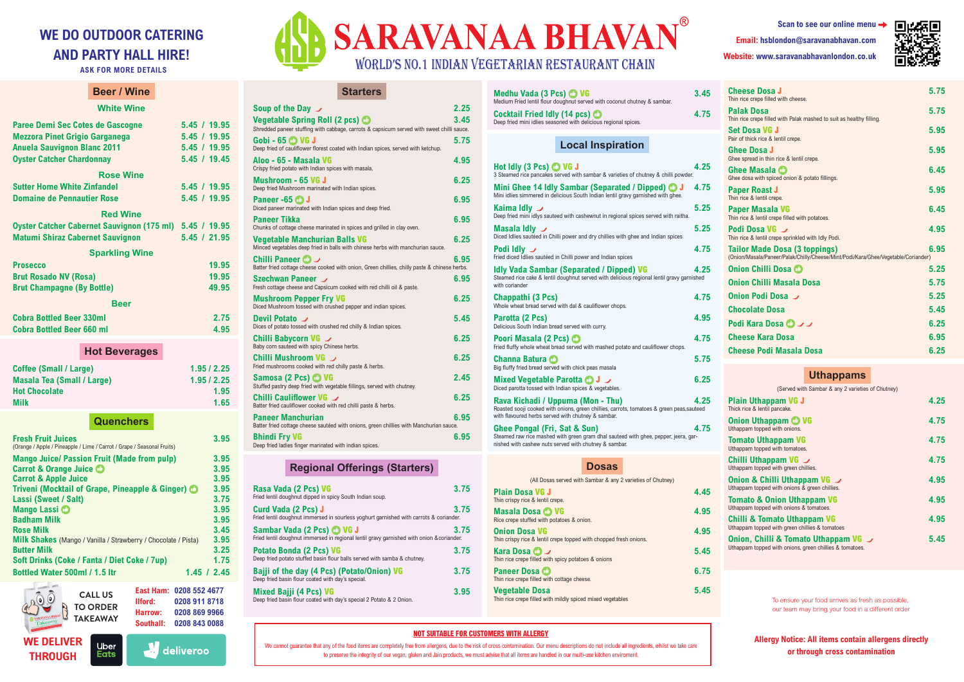### **NOT SUITABLE FOR CUSTOMERS WITH ALLERGY**

We cannot guarantee that any of the food items are completely free from allergens, due to the risk of cross contamination. Our menu descriptions do not include all ingredients, whilst we take care to preserve the integrity of our vegan, gluten and Jain products, we must advise that all items are handled in our multi-use kitchen enviroment.

# SARAVANAA BHAVAN® world's no.1 indian vegetarian restaurant chain

**WE DELIVER THROUGH**

**East Ham: 0208 552 4677**



| <b>Ilford:</b> | 0208 911 8718 |
|----------------|---------------|
| Harrow:        | 0208 869 9966 |
| Southall:      | 0208 843 0088 |
|                | deliveroo     |

| <b>CALL US</b>  | <b>East Ham:</b>          |
|-----------------|---------------------------|
| <b>TO ORDER</b> | <b>Ilford:</b><br>Harrow: |
| <b>TAKEAWAY</b> | Southall:                 |

Uber

**Eats** 

**Allergy Notice: All items contain allergens directly or through cross contamination**

# **Email: hsblondon@saravanabhavan.com Website: www.saravanabhavanlondon.co.uk Scan to see our online menu**



# **WE DO OUTDOOR CATERING AND PARTY HALL HIRE!**

**ASK FOR MORE DETAILS**

To ensure your food arrives as fresh as possible, our team may bring your food in a different order

### **Beer / Wine**

#### **White Wine**

| Paree Demi Sec Cotes de Gascogne                        | 5.45/19.95   |
|---------------------------------------------------------|--------------|
| <b>Mezzora Pinet Grigio Garganega</b>                   | 5.45/19.95   |
| <b>Anuela Sauvignon Blanc 2011</b>                      | 5.45 / 19.95 |
| <b>Oyster Catcher Chardonnay</b>                        | 5.45 / 19.45 |
| <b>Rose Wine</b>                                        |              |
| <b>Sutter Home White Zinfandel</b>                      | 5.45 / 19.95 |
| <b>Domaine de Pennautier Rose</b>                       | 5.45 / 19.95 |
| <b>Red Wine</b>                                         |              |
| Oyster Catcher Cabernet Sauvignon (175 ml) 5.45 / 19.95 |              |
| <b>Matumi Shiraz Cabernet Sauvignon</b>                 | 5.45 / 21.95 |
| <b>Sparkling Wine</b>                                   |              |
| <b>Prosecco</b>                                         | 19.95        |
| <b>Brut Rosado NV (Rosa)</b>                            | 19.95        |
| <b>Brut Champagne (By Bottle)</b>                       | 49.95        |
| Beer                                                    |              |
| <b>Cobra Bottled Beer 330ml</b>                         | 2.75         |
| <b>Cobra Bottled Beer 660 ml</b>                        | 4.95         |

**Hot Beverages**

| <b>Coffee (Small / Large)</b>     | 1.95/2.25 |
|-----------------------------------|-----------|
| <b>Masala Tea (Small / Large)</b> | 1.95/2.25 |
| <b>Hot Chocolate</b>              | 1.95      |
| Milk                              | 1.65      |

### **Quenchers**

| <b>Fresh Fruit Juices</b><br>(Orange / Apple / Pineapple / Lime / Carrot / Grape / Seasonal Fruits) | 3.95        |
|-----------------------------------------------------------------------------------------------------|-------------|
| <b>Mango Juice/ Passion Fruit (Made from pulp)</b>                                                  | 3.95        |
| <b>Carrot &amp; Orange Juice O</b>                                                                  | 3.95        |
| <b>Carrot &amp; Apple Juice</b>                                                                     | 3.95        |
| Triveni (Mocktail of Grape, Pineapple & Ginger) <b>C</b>                                            | 3.95        |
| Lassi (Sweet / Salt)                                                                                | 3.75        |
| Mango Lassi O                                                                                       | 3.95        |
| <b>Badham Milk</b>                                                                                  | 3.95        |
| <b>Rose Milk</b>                                                                                    | 3.45        |
| <b>Milk Shakes</b> (Mango / Vanilla / Strawberry / Chocolate / Pista)                               | 3.95        |
| <b>Butter Milk</b>                                                                                  | 3.25        |
| Soft Drinks (Coke / Fanta / Diet Coke / 7up)                                                        | 1.75        |
| <b>Bottled Water 500ml / 1.5 ltr</b>                                                                | 1.45 / 2.45 |
|                                                                                                     |             |

### **Starters**

| Soup of the Day $\rightarrow$                                                                                           | 2.25 |
|-------------------------------------------------------------------------------------------------------------------------|------|
| Vegetable Spring Roll (2 pcs) C                                                                                         | 3.45 |
| Shredded paneer stuffing with cabbage, carrots & capsicum served with sweet chilli sauce.                               |      |
| Gobi - 65 C VG J<br>Deep fried of cauliflower florest coated with Indian spices, served with ketchup.                   | 5.75 |
| Aloo - 65 - Masala VG<br>Crispy fried potato with Indian spices with masala.                                            | 4.95 |
| Mushroom - 65 VG J<br>Deep fried Mushroom marinated with Indian spices.                                                 | 6.25 |
| Paneer -65 CJ J<br>Diced paneer marinated with Indian spices and deep fried.                                            | 6.95 |
| Paneer Tikka<br>Chunks of cottage cheese marinated in spices and grilled in clay oven.                                  | 6.95 |
| <b>Vegetable Manchurian Balls VG</b><br>Minced vegetables deep fried in balls with chinese herbs with manchurian sauce. | 6.25 |
| Chilli Paneer ロン<br>Batter fried cottage cheese cooked with onion, Green chillies, chilly paste & chinese herbs.        | 6.95 |
| Szechwan Paneer ノ<br>Fresh cottage cheese and Capsicum cooked with red chilli oil & paste.                              | 6.95 |
| <b>Mushroom Pepper Fry VG</b><br>Diced Mushroom tossed with crushed pepper and indian spices.                           | 6.25 |
| Devil Potato<br>Dices of potato tossed with crushed red chilly & Indian spices.                                         | 5.45 |
| Chilli Babycorn VG ノ<br>Baby corn sauteed with spicy Chinese herbs.                                                     | 6.25 |
| Chilli Mushroom VG J<br>Fried mushrooms cooked with red chilly paste & herbs.                                           | 6.25 |
| Samosa (2 Pcs) © VG<br>Stuffed pastry deep fried with vegetable fillings, served with chutney.                          | 2.45 |
| Chilli Cauliflower VG ノ<br>Batter fried cauliflower cooked with red chilli paste & herbs.                               | 6.25 |
| <b>Paneer Manchurian</b><br>Batter fried cottage cheese sautéed with onions, green chillies with Manchurian sauce.      | 6.95 |
| <b>Bhindi Fry VG</b><br>Deep fried ladies finger marinated with indian spices.                                          | 6.95 |

### **Regional Offerings (Starters)**

| Rasa Vada (2 Pcs) VG<br>Fried lentil doughnut dipped in spicy South Indian soup.                                        | 3.75 |
|-------------------------------------------------------------------------------------------------------------------------|------|
| Curd Vada (2 Pcs) J<br>Fried lentil doughnut immersed in sourless yoghurt garnished with carrots & coriander.           | 3.75 |
| Sambar Vada (2 Pcs) CO VG J<br>Fried lentil doughnut immersed in regional lentil gravy garnished with onion &coriander. | 3.75 |
| Potato Bonda (2 Pcs) VG<br>Deep fried potato stuffed basin flour balls served with samba & chutney.                     | 3.75 |
| Bajji of the day (4 Pcs) (Potato/Onion) VG<br>Deep fried basin flour coated with day's special.                         | 3.75 |
| <b>Mixed Bajji (4 Pcs) VG</b><br>Deep fried basin flour coated with day's special 2 Potato & 2 Onion.                   | 3.95 |

| Medhu Vada (3 Pcs) @ VG                                                  | 3.45 |
|--------------------------------------------------------------------------|------|
| Medium Fried lentil flour doughnut served with coconut chutney & sambar. |      |
| Cocktail Fried Idly (14 pcs) <b>C</b>                                    | 4.75 |

Deep fried mini idlies seasoned with delicious regional spices.

### **Local Inspiration**

| Hot Idly (3 Pcs) C VG J<br>3 Steamed rice pancakes served with sambar & varieties of chutney & chilli powder.                                                                        | 4.25 |
|--------------------------------------------------------------------------------------------------------------------------------------------------------------------------------------|------|
| Mini Ghee 14 Idly Sambar (Separated / Dipped) <b>C</b> J<br>Mini idlies simmered in delicious South Indian lentil gravy garnished with ghee.                                         | 4.75 |
| Kaima Idly $\overline{\mathscr{S}}$<br>Deep fried mini idlys sauteed with cashewnut in regional spices served with raitha.                                                           | 5.25 |
| <b>Masala Idly</b> $\rightarrow$<br>Diced Idlies sautéed in Chilli power and dry chillies with ghee and Indian spices                                                                | 5.25 |
| Podi Idly <i>ノ</i><br>Fried diced Idlies sautéed in Chilli power and Indian spices                                                                                                   | 4.75 |
| <b>Idly Vada Sambar (Separated / Dipped) VG</b><br>Steamed rice cake & lentil doughnut served with delicious regional lentil gravy garnished<br>with coriander                       | 4.25 |
| Chappathi (3 Pcs)<br>Whole wheat bread served with dal & cauliflower chops.                                                                                                          | 4.75 |
| Parotta (2 Pcs)<br>Delicious South Indian bread served with curry.                                                                                                                   | 4.95 |
| Poori Masala (2 Pcs) O<br>Fried fluffy whole wheat bread served with mashed potato and cauliflower chops.                                                                            | 4.75 |
| Channa Batura C<br>Big fluffy fried bread served with chick peas masala                                                                                                              | 5.75 |
| Mixed Vegetable Parotta <b>O</b> J J<br>Diced parotta tossed with Indian spices & vegetables.                                                                                        | 6.25 |
| Rava Kichadi / Uppuma (Mon - Thu)<br>Roasted sooji cooked with onions, green chillies, carrots, tomatoes & green peas, sauteed<br>with flavoured herbs served with chutney & sambar. | 4.25 |
| Ghee Pongal (Fri, Sat & Sun)<br>Steamed raw rice mashed with green gram dhal sauteed with ghee, pepper, jeera, gar-<br>nished with cashew nuts served with chutney & sambar.         | 4.75 |

### **Dosas**

(All Dosas served with Sambar & any 2 varieties of Chutney)

| <b>Plain Dosa VG J</b><br>Thin crispy rice & lentil crepe.                                | 4.45 |
|-------------------------------------------------------------------------------------------|------|
| Masala Dosa C VG<br>Rice crepe stuffed with potatoes & onion.                             | 4.95 |
| <b>Onion Dosa VG</b><br>Thin crispy rice & lentil crepe topped with chopped fresh onions. | 4.95 |
| Kara Dosa <b>C</b><br>Thin rice crepe filled with spicy potatoes & onions                 | 5.45 |
| <b>Paneer Dosa C</b><br>Thin rice crepe filled with cottage cheese.                       | 6.75 |
| <b>Vegetable Dosa</b><br>Thin rice crepe filled with mildly spiced mixed vegetables       | 5.45 |

| 5.75<br><b>Cheese Dosa J</b><br>Thin rice crepe filled with cheese.<br>5.75                                                       |  |
|-----------------------------------------------------------------------------------------------------------------------------------|--|
| Palak Dosa                                                                                                                        |  |
| Thin rice crepe filled with Palak mashed to suit as healthy filling.                                                              |  |
| 5.95<br>Set Dosa VG J<br>Pair of thick rice & lentil crepe.                                                                       |  |
| 5.95<br><b>Ghee Dosa J</b><br>Ghee spread in thin rice & lentil crepe.                                                            |  |
| 6.45<br>Ghee Masala (D<br>Ghee dosa with spiced onion & potato fillings.                                                          |  |
| 5.95<br><b>Paper Roast J</b><br>Thin rice & lentil crepe.                                                                         |  |
| 6.45<br><b>Paper Masala VG</b><br>Thin rice & lentil crepe filled with potatoes.                                                  |  |
| <b>Podi Dosa VG</b><br>4.95<br>Thin rice & lentil crepe sprinkled with Idly Podi.                                                 |  |
| 6.95<br><b>Tailor Made Dosa (3 toppings)</b><br>(Onion/Masala/Paneer/Palak/Chilly/Cheese/Mint/Podi/Kara/Ghee/Vegetable/Coriander) |  |
| Onion Chilli Dosa C<br>5.25                                                                                                       |  |
| 5.75<br>Onion Chilli Masala Dosa                                                                                                  |  |
| 5.25<br>Onion Podi Dosa ノ                                                                                                         |  |
| 5.45<br><b>Chocolate Dosa</b>                                                                                                     |  |
| 6.25<br><b>Podi Kara Dosa ロフラ</b>                                                                                                 |  |
| 6.95<br><b>Cheese Kara Dosa</b>                                                                                                   |  |
| 6.25<br>Cheese Podi Masala Dosa                                                                                                   |  |

### **Uthappams**

| (Served with Sambar & any 2 varieties of Chutney)                                                        |      |
|----------------------------------------------------------------------------------------------------------|------|
| <b>Plain Uthappam VG J</b><br>Thick rice & lentil pancake.                                               | 4.25 |
| <b>Onion Uthappam CO VG</b><br>Uthappam topped with onions.                                              | 4.75 |
| <b>Tomato Uthappam VG</b><br>Uthappam topped with tomatoes.                                              | 4.75 |
| Chilli Uthappam VG $\rightarrow$<br>Uthappam topped with green chillies.                                 | 4.75 |
| <b>Onion &amp; Chilli Uthappam VG</b><br>Uthappam topped with onions & green chillies.                   | 4.95 |
| <b>Tomato &amp; Onion Uthappam VG</b><br>Uthappam topped with onions & tomatoes.                         | 4.95 |
| <b>Chilli &amp; Tomato Uthappam VG</b><br>Uthappam topped with green chillies & tomatoes                 | 4.95 |
| <b>Onion, Chilli &amp; Tomato Uthappam VG</b><br>Uthappam topped with onions, green chillies & tomatoes. | 5.45 |